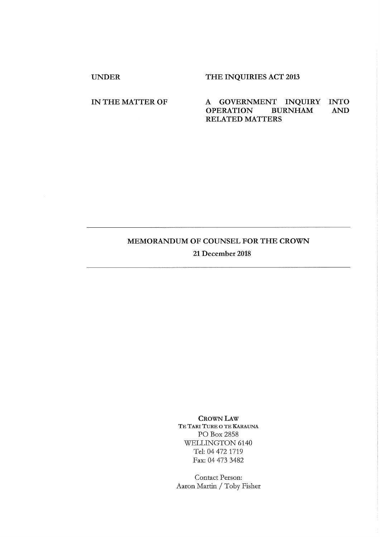# UNDER THE INQUIRIES ACT 2013

## IN THE MATTER OF A GOVERNMENT INQUIRY INTO AND OPERATION BURNHAM AND **OPERATION** RELATED MATTERS

## MEMORANDUM OF COUNSEL FOR THE CROWN

21 December 2018

CROWN LAW TE TARI TURE O TE KARAUNA PO Box 2858 WELLINGTON 6140 Tel: 04 472 1719 Fax: 04 473 3482

Contact Person: Aaron Martin / Toby Fisher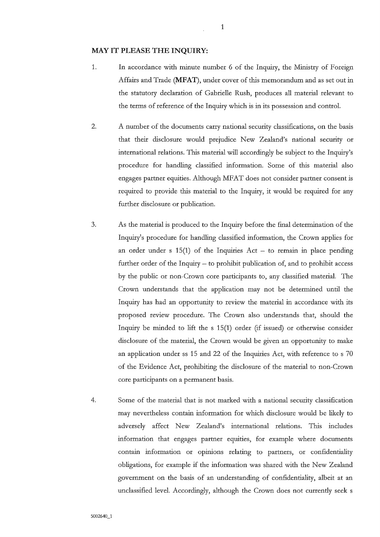#### **MAY IT PLEASE THE INQUIRY:**

- 1. In accordance with minute number 6 of the Inquiry, the Ministry of Foreign Affairs and Trade (MFAT), under cover of this memorandum and as set out in the statutory declaration of Gabrielle Rush, produces all material relevant to the terms of reference of the Ingniiy which is in its possession and control.
- 2. A number of the documents carry national security classifications, on the basis that their disclosure would prejudice New Zealand's national security or international relations. This material will accordingly be subject to the Inquiry's procedure for handling classified information. Some of this material also engages partner equities. Although MFAT does not consider partner consent is required to provide this material to the Inquiry, it would be required for any further disclosure or publication.
- 3. As the material is produced to the Inquiry before the final determination of the Inquiry's procedure for handling classified information, the Crown applies for an order under s  $15(1)$  of the Inquiries Act – to remain in place pending further order of the Inquiry  $-$  to prohibit publication of, and to prohibit access by the public or non-Crown core participants to, any classified material. The Crown understands that the application may not be determined until the Inquiry has had an opportunity to review the material in accordance with its proposed review procedure. The Crown also understands that, should the Inquiry be minded to lift the s 15(1) order (if issued) or otherwise consider disclosure of the material, the Crown would be given an opportunity to make an application under ss 15 and 22 of the Inquiries Act, with reference to s 70 of the Evidence Act, prohibiting the disclosure of the material to non-Crown core participants on a permanent basis.
- 4. Some of the material that is not marked with a national security classification may nevertheless contain information for which disclosure would be likely to adversely affect New Zealand's international relations. This includes information that engages partner equities, for example where documents contain information or opinions relating to partners, or confidentiality obligations, for example if the information was shared with the New Zealand government on the basis of an understanding of confidentiality, albeit at an unclassified level. Accordingly, although the Crown does not currently seek s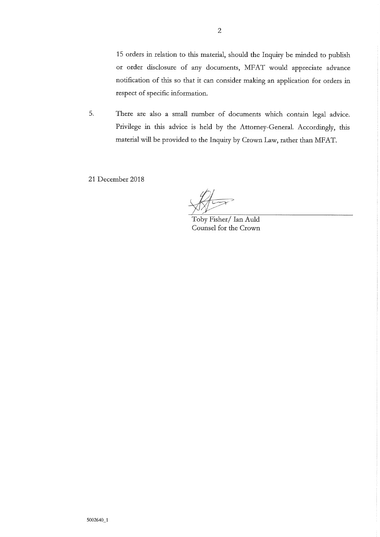15 orders in relation to this material, should the Inquiry be minded to publish or order disclosure of any documents, MFAT would appreciate advance notification of this so that it can consider making an application for orders in respect of specific information.

5. There are also a small number of documents which contain legal advice. Privilege in this advice is held by the Attorney-General. Accordingly, this material will be provided to the Inquiry by Crown Law, rather than MFAT.

21 December 2018

Toby Fisher/ Ian Auld Counsel for the Crown